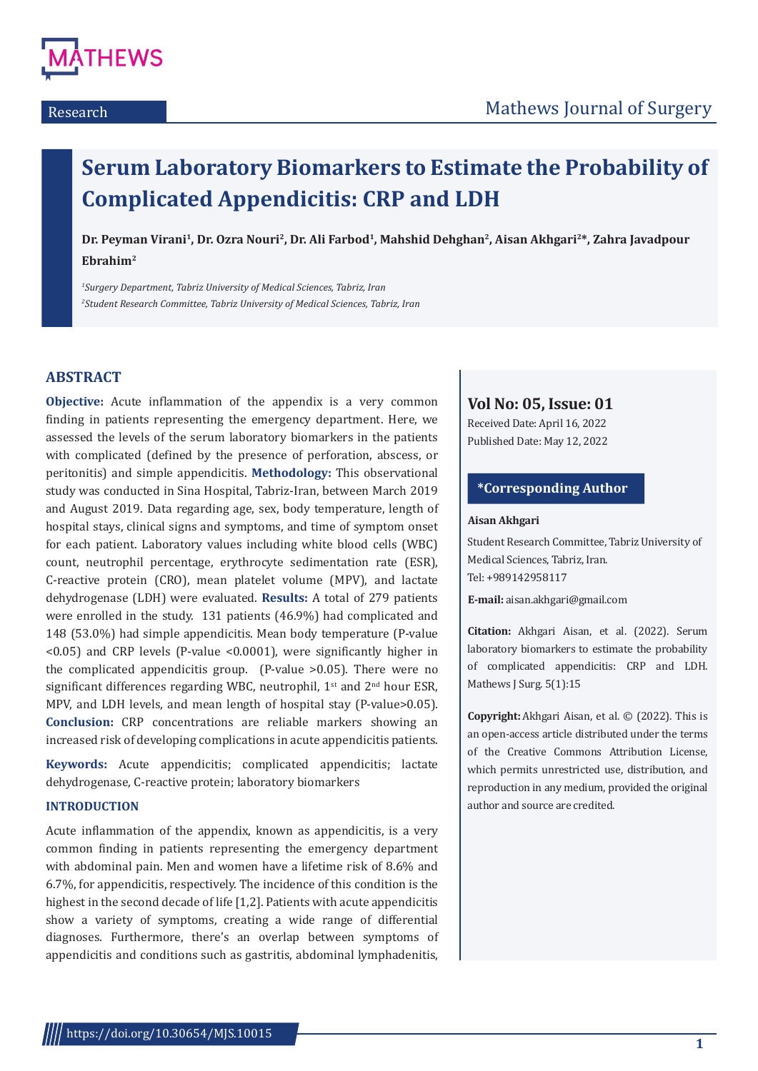

# **Serum Laboratory Biomarkers to Estimate the Probability of Complicated Appendicitis: CRP and LDH**

**Dr. Peyman Virani1, Dr. Ozra Nouri2, Dr. Ali Farbod1, Mahshid Dehghan2, Aisan Akhgari2\*, Zahra Javadpour Ebrahim2**

*1 Surgery Department, Tabriz University of Medical Sciences, Tabriz, Iran 2 Student Research Committee, Tabriz University of Medical Sciences, Tabriz, Iran*

# **ABSTRACT**

**Objective:** Acute inflammation of the appendix is a very common finding in patients representing the emergency department. Here, we assessed the levels of the serum laboratory biomarkers in the patients with complicated (defined by the presence of perforation, abscess, or peritonitis) and simple appendicitis. **Methodology:** This observational study was conducted in Sina Hospital, Tabriz-Iran, between March 2019 and August 2019. Data regarding age, sex, body temperature, length of hospital stays, clinical signs and symptoms, and time of symptom onset for each patient. Laboratory values including white blood cells (WBC) count, neutrophil percentage, erythrocyte sedimentation rate (ESR), C-reactive protein (CRO), mean platelet volume (MPV), and lactate dehydrogenase (LDH) were evaluated. **Results:** A total of 279 patients were enrolled in the study. 131 patients (46.9%) had complicated and 148 (53.0%) had simple appendicitis. Mean body temperature (P-value <0.05) and CRP levels (P-value <0.0001), were significantly higher in the complicated appendicitis group. (P-value >0.05). There were no significant differences regarding WBC, neutrophil,  $1<sup>st</sup>$  and  $2<sup>nd</sup>$  hour ESR, MPV, and LDH levels, and mean length of hospital stay (P-value>0.05). **Conclusion:** CRP concentrations are reliable markers showing an increased risk of developing complications in acute appendicitis patients.

**Keywords:** Acute appendicitis; complicated appendicitis; lactate dehydrogenase, C-reactive protein; laboratory biomarkers

# **INTRODUCTION**

Acute inflammation of the appendix, known as appendicitis, is a very common finding in patients representing the emergency department with abdominal pain. Men and women have a lifetime risk of 8.6% and 6.7%, for appendicitis, respectively. The incidence of this condition is the highest in the second decade of life [1,2]. Patients with acute appendicitis show a variety of symptoms, creating a wide range of differential diagnoses. Furthermore, there's an overlap between symptoms of appendicitis and conditions such as gastritis, abdominal lymphadenitis,

# **Vol No: 05, Issue: 01**

Received Date: April 16, 2022 Published Date: May 12, 2022

# **\*Corresponding Author**

#### **Aisan Akhgari**

Student Research Committee, Tabriz University of Medical Sciences, Tabriz, Iran. Tel: +989142958117

**E-mail:** aisan.akhgari@gmail.com

**Citation:** Akhgari Aisan, et al. (2022). Serum laboratory biomarkers to estimate the probability of complicated appendicitis: CRP and LDH. Mathews J Surg. 5(1):15

**Copyright:** Akhgari Aisan, et al. © (2022). This is an open-access article distributed under the terms of the Creative Commons Attribution License, which permits unrestricted use, distribution, and reproduction in any medium, provided the original author and source are credited.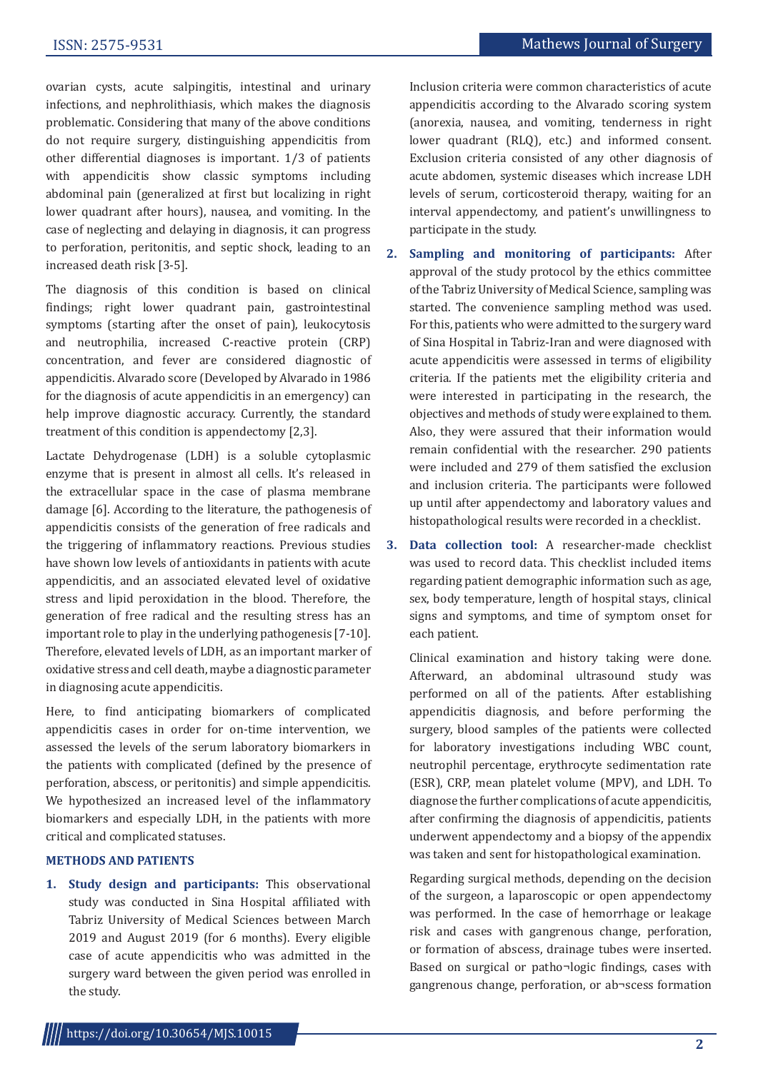ovarian cysts, acute salpingitis, intestinal and urinary infections, and nephrolithiasis, which makes the diagnosis problematic. Considering that many of the above conditions do not require surgery, distinguishing appendicitis from other differential diagnoses is important. 1/3 of patients with appendicitis show classic symptoms including abdominal pain (generalized at first but localizing in right lower quadrant after hours), nausea, and vomiting. In the case of neglecting and delaying in diagnosis, it can progress to perforation, peritonitis, and septic shock, leading to an increased death risk [3-5].

The diagnosis of this condition is based on clinical findings; right lower quadrant pain, gastrointestinal symptoms (starting after the onset of pain), leukocytosis and neutrophilia, increased C-reactive protein (CRP) concentration, and fever are considered diagnostic of appendicitis. Alvarado score (Developed by Alvarado in 1986 for the diagnosis of acute appendicitis in an emergency) can help improve diagnostic accuracy. Currently, the standard treatment of this condition is appendectomy [2,3].

Lactate Dehydrogenase (LDH) is a soluble cytoplasmic enzyme that is present in almost all cells. It's released in the extracellular space in the case of plasma membrane damage [6]. According to the literature, the pathogenesis of appendicitis consists of the generation of free radicals and the triggering of inflammatory reactions. Previous studies have shown low levels of antioxidants in patients with acute appendicitis, and an associated elevated level of oxidative stress and lipid peroxidation in the blood. Therefore, the generation of free radical and the resulting stress has an important role to play in the underlying pathogenesis [7-10]. Therefore, elevated levels of LDH, as an important marker of oxidative stress and cell death, maybe a diagnostic parameter in diagnosing acute appendicitis.

Here, to find anticipating biomarkers of complicated appendicitis cases in order for on-time intervention, we assessed the levels of the serum laboratory biomarkers in the patients with complicated (defined by the presence of perforation, abscess, or peritonitis) and simple appendicitis. We hypothesized an increased level of the inflammatory biomarkers and especially LDH, in the patients with more critical and complicated statuses.

# **METHODS AND PATIENTS**

**1. Study design and participants:** This observational study was conducted in Sina Hospital affiliated with Tabriz University of Medical Sciences between March 2019 and August 2019 (for 6 months). Every eligible case of acute appendicitis who was admitted in the surgery ward between the given period was enrolled in the study.

Inclusion criteria were common characteristics of acute appendicitis according to the Alvarado scoring system (anorexia, nausea, and vomiting, tenderness in right lower quadrant (RLQ), etc.) and informed consent. Exclusion criteria consisted of any other diagnosis of acute abdomen, systemic diseases which increase LDH levels of serum, corticosteroid therapy, waiting for an interval appendectomy, and patient's unwillingness to participate in the study.

- **2. Sampling and monitoring of participants:** After approval of the study protocol by the ethics committee of the Tabriz University of Medical Science, sampling was started. The convenience sampling method was used. For this, patients who were admitted to the surgery ward of Sina Hospital in Tabriz-Iran and were diagnosed with acute appendicitis were assessed in terms of eligibility criteria. If the patients met the eligibility criteria and were interested in participating in the research, the objectives and methods of study were explained to them. Also, they were assured that their information would remain confidential with the researcher. 290 patients were included and 279 of them satisfied the exclusion and inclusion criteria. The participants were followed up until after appendectomy and laboratory values and histopathological results were recorded in a checklist.
- **3. Data collection tool:** A researcher-made checklist was used to record data. This checklist included items regarding patient demographic information such as age, sex, body temperature, length of hospital stays, clinical signs and symptoms, and time of symptom onset for each patient.

Clinical examination and history taking were done. Afterward, an abdominal ultrasound study was performed on all of the patients. After establishing appendicitis diagnosis, and before performing the surgery, blood samples of the patients were collected for laboratory investigations including WBC count, neutrophil percentage, erythrocyte sedimentation rate (ESR), CRP, mean platelet volume (MPV), and LDH. To diagnose the further complications of acute appendicitis, after confirming the diagnosis of appendicitis, patients underwent appendectomy and a biopsy of the appendix was taken and sent for histopathological examination.

Regarding surgical methods, depending on the decision of the surgeon, a laparoscopic or open appendectomy was performed. In the case of hemorrhage or leakage risk and cases with gangrenous change, perforation, or formation of abscess, drainage tubes were inserted. Based on surgical or patho¬logic findings, cases with gangrenous change, perforation, or ab¬scess formation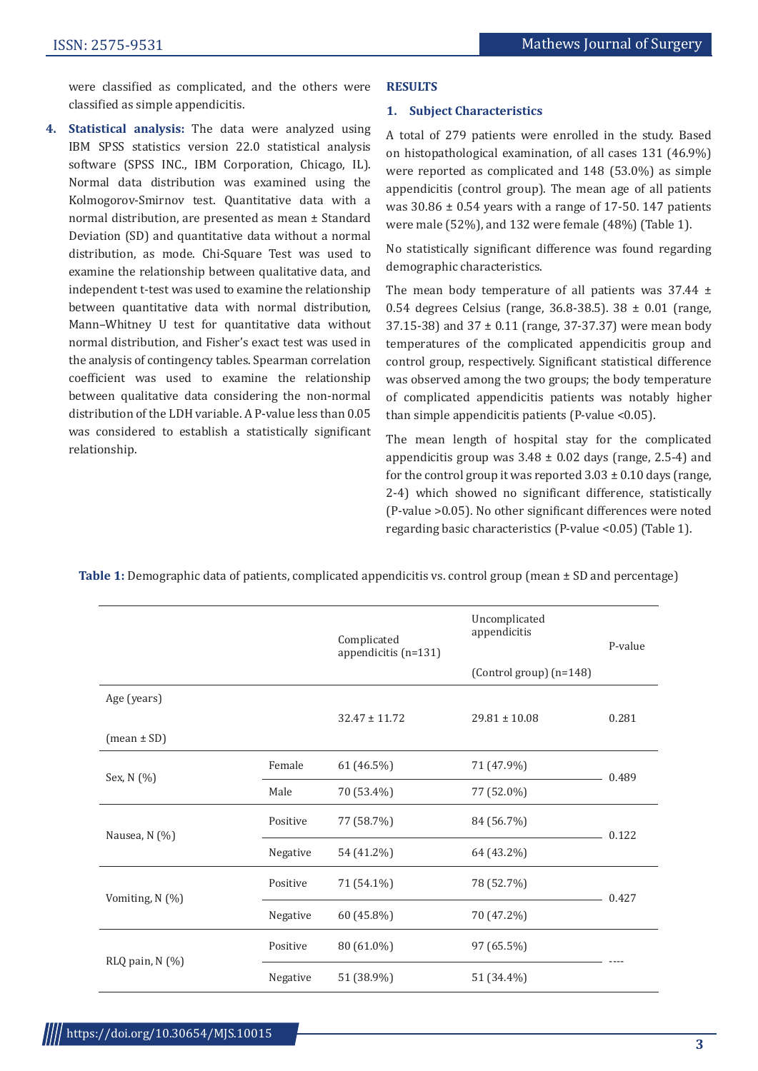were classified as complicated, and the others were classified as simple appendicitis.

**4. Statistical analysis:** The data were analyzed using IBM SPSS statistics version 22.0 statistical analysis software (SPSS INC., IBM Corporation, Chicago, IL). Normal data distribution was examined using the Kolmogorov-Smirnov test. Quantitative data with a normal distribution, are presented as mean ± Standard Deviation (SD) and quantitative data without a normal distribution, as mode. Chi-Square Test was used to examine the relationship between qualitative data, and independent t-test was used to examine the relationship between quantitative data with normal distribution, Mann–Whitney U test for quantitative data without normal distribution, and Fisher's exact test was used in the analysis of contingency tables. Spearman correlation coefficient was used to examine the relationship between qualitative data considering the non-normal distribution of the LDH variable. A P-value less than 0.05 was considered to establish a statistically significant relationship.

#### **RESULTS**

#### **1. Subject Characteristics**

A total of 279 patients were enrolled in the study. Based on histopathological examination, of all cases 131 (46.9%) were reported as complicated and 148 (53.0%) as simple appendicitis (control group). The mean age of all patients was  $30.86 \pm 0.54$  years with a range of 17-50. 147 patients were male (52%), and 132 were female (48%) (Table 1).

No statistically significant difference was found regarding demographic characteristics.

The mean body temperature of all patients was  $37.44 \pm$ 0.54 degrees Celsius (range, 36.8-38.5). 38 ± 0.01 (range, 37.15-38) and 37 ± 0.11 (range, 37-37.37) were mean body temperatures of the complicated appendicitis group and control group, respectively. Significant statistical difference was observed among the two groups; the body temperature of complicated appendicitis patients was notably higher than simple appendicitis patients (P-value <0.05).

The mean length of hospital stay for the complicated appendicitis group was  $3.48 \pm 0.02$  days (range, 2.5-4) and for the control group it was reported  $3.03 \pm 0.10$  days (range, 2-4) which showed no significant difference, statistically (P-value >0.05). No other significant differences were noted regarding basic characteristics (P-value <0.05) (Table 1).

|                 |          | Complicated<br>appendicitis (n=131) | Uncomplicated<br>appendicitis<br>(Control group) (n=148) | P-value |  |
|-----------------|----------|-------------------------------------|----------------------------------------------------------|---------|--|
| Age (years)     |          | $32.47 \pm 11.72$                   | $29.81 \pm 10.08$                                        | 0.281   |  |
| $(mean \pm SD)$ |          |                                     |                                                          |         |  |
| Sex, N (%)      | Female   | 61 (46.5%)                          | 71 (47.9%)                                               | 0.489   |  |
|                 | Male     | 70 (53.4%)                          | 77 (52.0%)                                               |         |  |
| Nausea, N (%)   | Positive | 77 (58.7%)                          | 84 (56.7%)                                               | 0.122   |  |
|                 | Negative | 54 (41.2%)                          | 64 (43.2%)                                               |         |  |
| Vomiting, N (%) | Positive | 71 (54.1%)                          | 78 (52.7%)                                               | 0.427   |  |
|                 | Negative | 60 (45.8%)                          | 70 (47.2%)                                               |         |  |
| RLQ pain, N (%) | Positive | 80 (61.0%)                          | 97 (65.5%)                                               |         |  |
|                 | Negative | 51 (38.9%)                          | 51 (34.4%)                                               |         |  |

**Table 1:** Demographic data of patients, complicated appendicitis vs. control group (mean ± SD and percentage)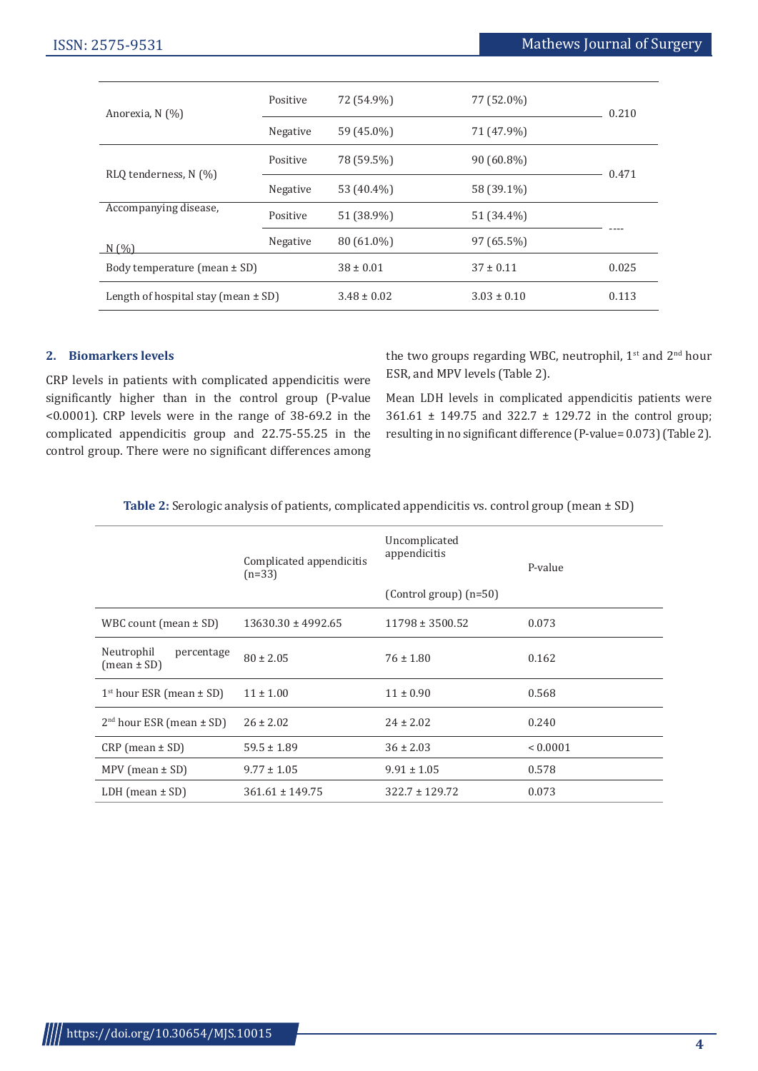| Anorexia, N (%)                         | Positive | 72 (54.9%)      | 77 (52.0%)      | 0.210 |
|-----------------------------------------|----------|-----------------|-----------------|-------|
|                                         | Negative | 59 (45.0%)      | 71 (47.9%)      |       |
| RLQ tenderness, N (%)                   | Positive | 78 (59.5%)      | $90(60.8\%)$    | 0.471 |
|                                         | Negative | 53 (40.4%)      | 58 (39.1%)      |       |
| Accompanying disease,                   | Positive | 51 (38.9%)      | 51 (34.4%)      |       |
| N(%)                                    | Negative | 80 (61.0%)      | 97 (65.5%)      |       |
| Body temperature (mean $\pm$ SD)        |          | $38 \pm 0.01$   | $37 \pm 0.11$   | 0.025 |
| Length of hospital stay (mean $\pm$ SD) |          | $3.48 \pm 0.02$ | $3.03 \pm 0.10$ | 0.113 |

# **2. Biomarkers levels**

CRP levels in patients with complicated appendicitis were significantly higher than in the control group (P-value <0.0001). CRP levels were in the range of 38-69.2 in the complicated appendicitis group and 22.75-55.25 in the control group. There were no significant differences among the two groups regarding WBC, neutrophil,  $1<sup>st</sup>$  and  $2<sup>nd</sup>$  hour ESR, and MPV levels (Table 2).

Mean LDH levels in complicated appendicitis patients were 361.61 ± 149.75 and 322.7 ± 129.72 in the control group; resulting in no significant difference (P-value= 0.073) (Table 2).

| <b>Table 2.</b> Servingly alialysis of patients, complicated appendictus vs. control group (incall 1 SD) |                                      |                               |              |  |  |  |  |
|----------------------------------------------------------------------------------------------------------|--------------------------------------|-------------------------------|--------------|--|--|--|--|
|                                                                                                          | Complicated appendicitis<br>$(n=33)$ | Uncomplicated<br>appendicitis | P-value      |  |  |  |  |
|                                                                                                          |                                      | (Control group) $(n=50)$      |              |  |  |  |  |
| WBC count (mean $\pm$ SD)                                                                                | $13630.30 \pm 4992.65$               | $11798 \pm 3500.52$           | 0.073        |  |  |  |  |
| Neutrophil<br>percentage<br>$(mean \pm SD)$                                                              | $80 \pm 2.05$                        | $76 \pm 1.80$                 | 0.162        |  |  |  |  |
| $1st$ hour ESR (mean $\pm$ SD)                                                                           | $11 \pm 1.00$                        | $11 \pm 0.90$                 | 0.568        |  |  |  |  |
| $2nd$ hour ESR (mean $\pm$ SD)                                                                           | $26 \pm 2.02$                        | $24 \pm 2.02$                 | 0.240        |  |  |  |  |
| $CRP$ (mean $\pm$ SD)                                                                                    | $59.5 \pm 1.89$                      | $36 \pm 2.03$                 | ${}< 0.0001$ |  |  |  |  |
| MPV (mean $\pm$ SD)                                                                                      | $9.77 \pm 1.05$                      | $9.91 \pm 1.05$               | 0.578        |  |  |  |  |
| LDH (mean $\pm$ SD)                                                                                      | $361.61 \pm 149.75$                  | $322.7 \pm 129.72$            | 0.073        |  |  |  |  |

**Table 2:** Serologic analysis of patients, complicated appendicitis vs. control group (mean + SD)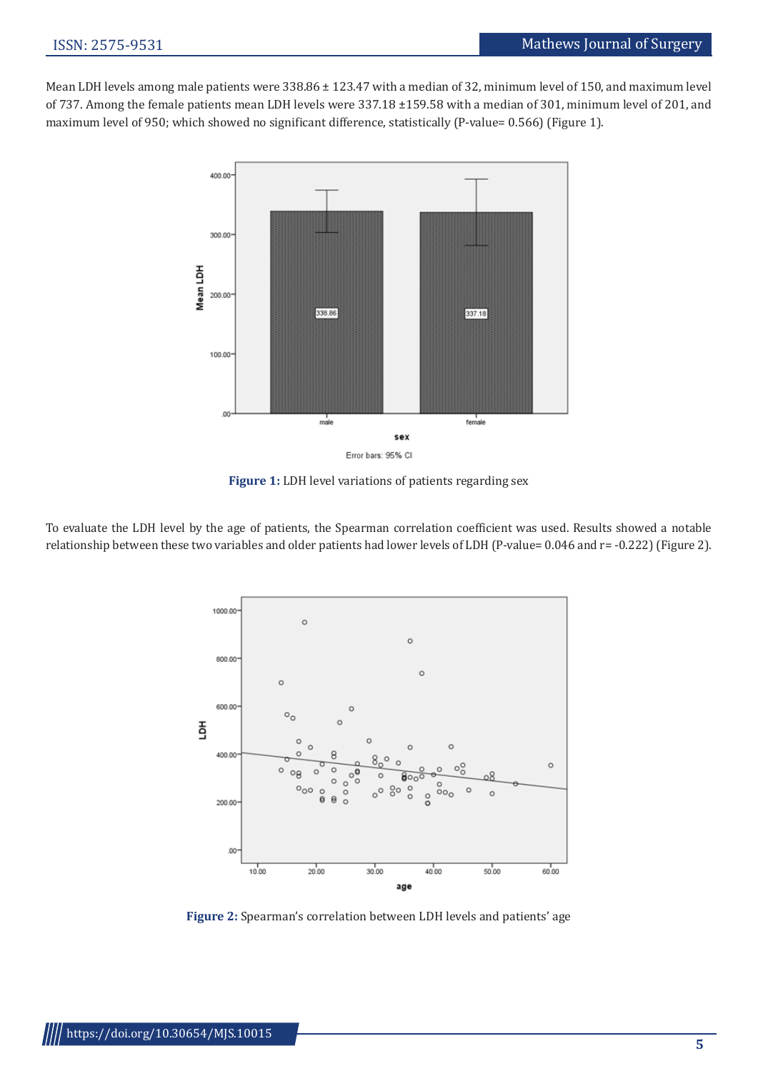Mean LDH levels among male patients were 338.86 ± 123.47 with a median of 32, minimum level of 150, and maximum level of 737. Among the female patients mean LDH levels were 337.18 ±159.58 with a median of 301, minimum level of 201, and maximum level of 950; which showed no significant difference, statistically (P-value= 0.566) (Figure 1).



**Figure 1:** LDH level variations of patients regarding sex

To evaluate the LDH level by the age of patients, the Spearman correlation coefficient was used. Results showed a notable relationship between these two variables and older patients had lower levels of LDH (P-value= 0.046 and r= -0.222) (Figure 2).



**Figure 2:** Spearman's correlation between LDH levels and patients' age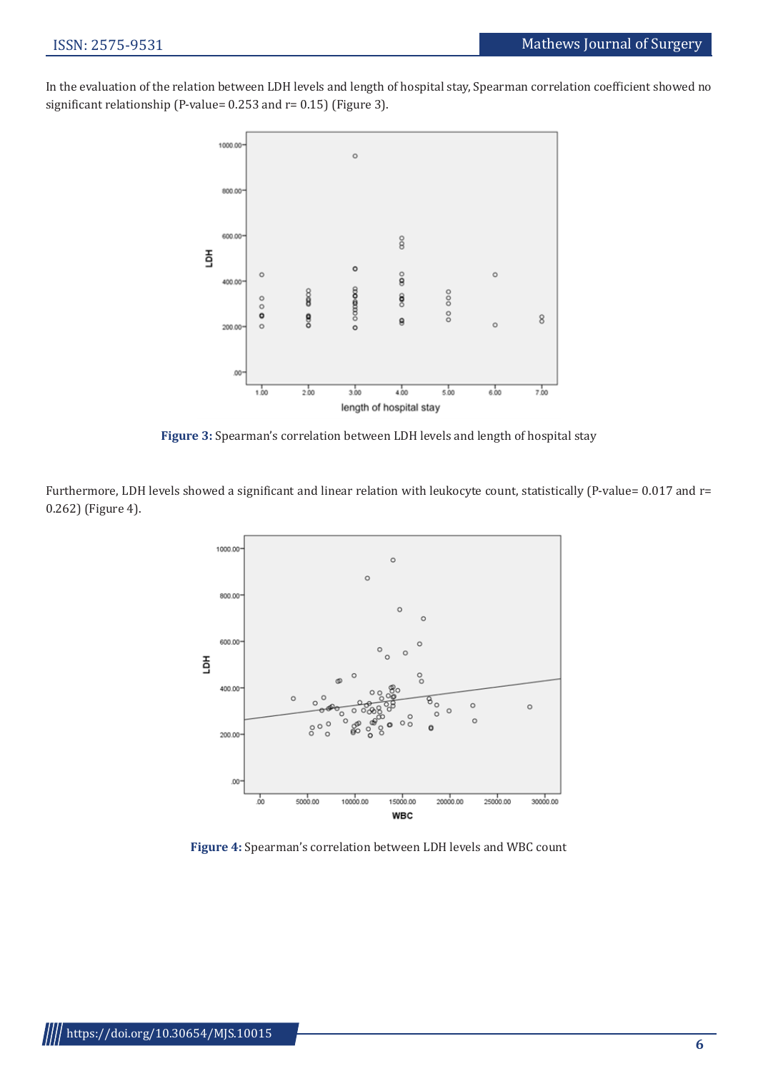In the evaluation of the relation between LDH levels and length of hospital stay, Spearman correlation coefficient showed no significant relationship (P-value= 0.253 and r= 0.15) (Figure 3).



**Figure 3:** Spearman's correlation between LDH levels and length of hospital stay

Furthermore, LDH levels showed a significant and linear relation with leukocyte count, statistically (P-value= 0.017 and r= 0.262) (Figure 4).



**Figure 4:** Spearman's correlation between LDH levels and WBC count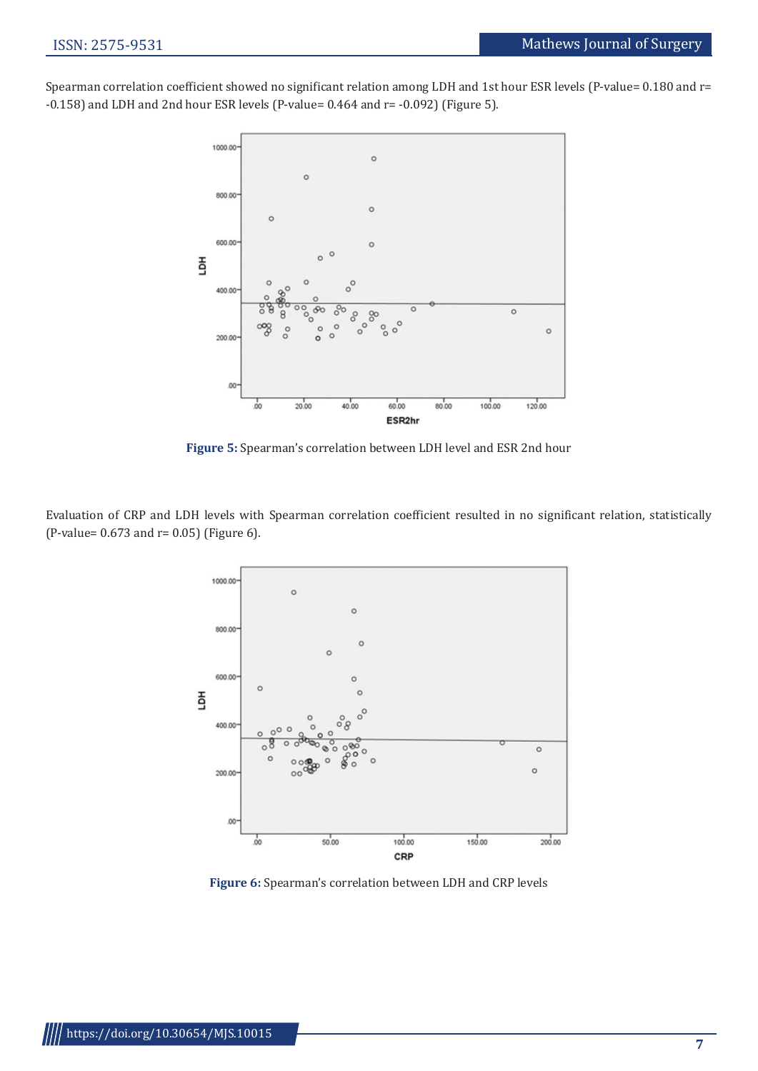Spearman correlation coefficient showed no significant relation among LDH and 1st hour ESR levels (P-value= 0.180 and r= -0.158) and LDH and 2nd hour ESR levels (P-value= 0.464 and r= -0.092) (Figure 5).



**Figure 5:** Spearman's correlation between LDH level and ESR 2nd hour

Evaluation of CRP and LDH levels with Spearman correlation coefficient resulted in no significant relation, statistically (P-value= 0.673 and r= 0.05) (Figure 6).



**Figure 6:** Spearman's correlation between LDH and CRP levels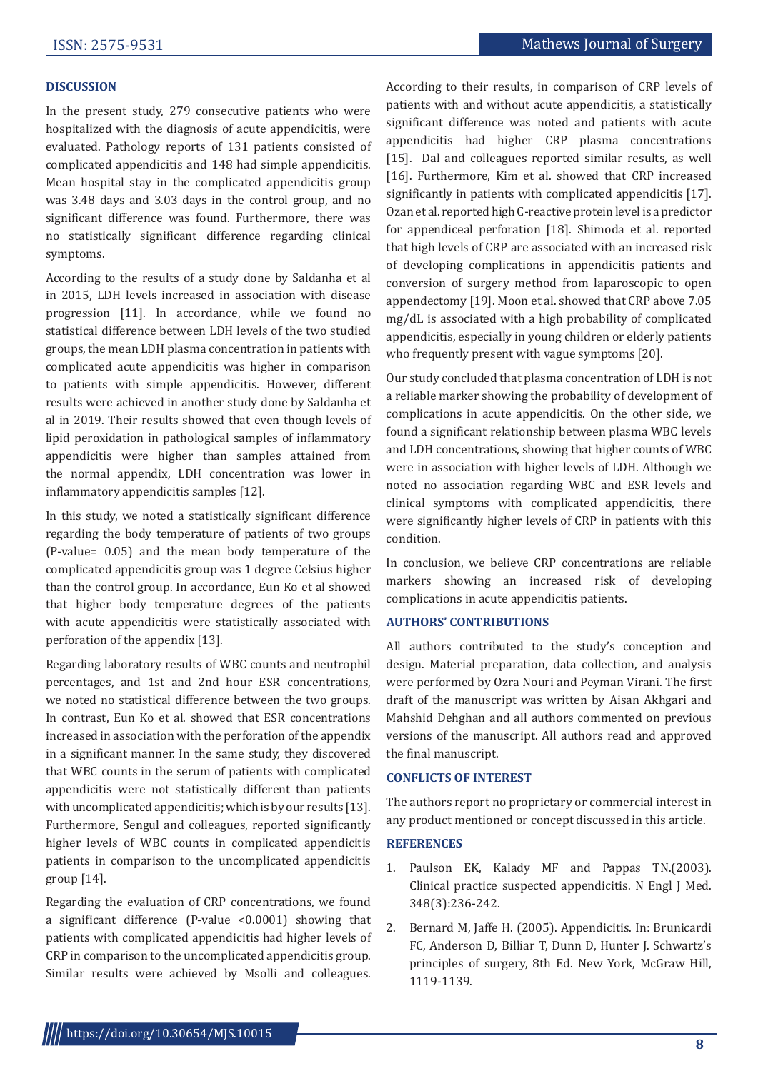### **DISCUSSION**

In the present study, 279 consecutive patients who were hospitalized with the diagnosis of acute appendicitis, were evaluated. Pathology reports of 131 patients consisted of complicated appendicitis and 148 had simple appendicitis. Mean hospital stay in the complicated appendicitis group was 3.48 days and 3.03 days in the control group, and no significant difference was found. Furthermore, there was no statistically significant difference regarding clinical symptoms.

According to the results of a study done by Saldanha et al in 2015, LDH levels increased in association with disease progression [11]. In accordance, while we found no statistical difference between LDH levels of the two studied groups, the mean LDH plasma concentration in patients with complicated acute appendicitis was higher in comparison to patients with simple appendicitis. However, different results were achieved in another study done by Saldanha et al in 2019. Their results showed that even though levels of lipid peroxidation in pathological samples of inflammatory appendicitis were higher than samples attained from the normal appendix, LDH concentration was lower in inflammatory appendicitis samples [12].

In this study, we noted a statistically significant difference regarding the body temperature of patients of two groups (P-value= 0.05) and the mean body temperature of the complicated appendicitis group was 1 degree Celsius higher than the control group. In accordance, Eun Ko et al showed that higher body temperature degrees of the patients with acute appendicitis were statistically associated with perforation of the appendix [13].

Regarding laboratory results of WBC counts and neutrophil percentages, and 1st and 2nd hour ESR concentrations, we noted no statistical difference between the two groups. In contrast, Eun Ko et al. showed that ESR concentrations increased in association with the perforation of the appendix in a significant manner. In the same study, they discovered that WBC counts in the serum of patients with complicated appendicitis were not statistically different than patients with uncomplicated appendicitis; which is by our results [13]. Furthermore, Sengul and colleagues, reported significantly higher levels of WBC counts in complicated appendicitis patients in comparison to the uncomplicated appendicitis group [14].

Regarding the evaluation of CRP concentrations, we found a significant difference (P-value <0.0001) showing that patients with complicated appendicitis had higher levels of CRP in comparison to the uncomplicated appendicitis group. Similar results were achieved by Msolli and colleagues. According to their results, in comparison of CRP levels of patients with and without acute appendicitis, a statistically significant difference was noted and patients with acute appendicitis had higher CRP plasma concentrations [15]. Dal and colleagues reported similar results, as well [16]. Furthermore, Kim et al. showed that CRP increased significantly in patients with complicated appendicitis [17]. Ozan et al. reported high C-reactive protein level is a predictor for appendiceal perforation [18]. Shimoda et al. reported that high levels of CRP are associated with an increased risk of developing complications in appendicitis patients and conversion of surgery method from laparoscopic to open appendectomy [19]. Moon et al. showed that CRP above 7.05 mg/dL is associated with a high probability of complicated appendicitis, especially in young children or elderly patients who frequently present with vague symptoms [20].

Our study concluded that plasma concentration of LDH is not a reliable marker showing the probability of development of complications in acute appendicitis. On the other side, we found a significant relationship between plasma WBC levels and LDH concentrations, showing that higher counts of WBC were in association with higher levels of LDH. Although we noted no association regarding WBC and ESR levels and clinical symptoms with complicated appendicitis, there were significantly higher levels of CRP in patients with this condition.

In conclusion, we believe CRP concentrations are reliable markers showing an increased risk of developing complications in acute appendicitis patients.

# **AUTHORS' CONTRIBUTIONS**

All authors contributed to the study's conception and design. Material preparation, data collection, and analysis were performed by Ozra Nouri and Peyman Virani. The first draft of the manuscript was written by Aisan Akhgari and Mahshid Dehghan and all authors commented on previous versions of the manuscript. All authors read and approved the final manuscript.

#### **CONFLICTS OF INTEREST**

The authors report no proprietary or commercial interest in any product mentioned or concept discussed in this article.

# **REFERENCES**

- 1. Paulson EK, Kalady MF and Pappas TN.(2003). Clinical practice suspected appendicitis. N Engl J Med. 348(3):236-242.
- 2. Bernard M, Jaffe H. (2005). Appendicitis. In: Brunicardi FC, Anderson D, Billiar T, Dunn D, Hunter J. Schwartz's principles of surgery, 8th Ed. New York, McGraw Hill, 1119-1139.